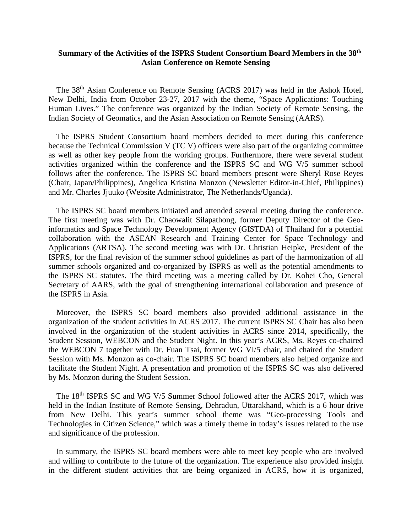## **Summary of the Activities of the ISPRS Student Consortium Board Members in the 38th Asian Conference on Remote Sensing**

The 38th Asian Conference on Remote Sensing (ACRS 2017) was held in the Ashok Hotel, New Delhi, India from October 23-27, 2017 with the theme, "Space Applications: Touching Human Lives." The conference was organized by the Indian Society of Remote Sensing, the Indian Society of Geomatics, and the Asian Association on Remote Sensing (AARS).

The ISPRS Student Consortium board members decided to meet during this conference because the Technical Commission V (TC V) officers were also part of the organizing committee as well as other key people from the working groups. Furthermore, there were several student activities organized within the conference and the ISPRS SC and WG V/5 summer school follows after the conference. The ISPRS SC board members present were Sheryl Rose Reyes (Chair, Japan/Philippines), Angelica Kristina Monzon (Newsletter Editor-in-Chief, Philippines) and Mr. Charles Jjuuko (Website Administrator, The Netherlands/Uganda).

The ISPRS SC board members initiated and attended several meeting during the conference. The first meeting was with Dr. Chaowalit Silapathong, former Deputy Director of the Geoinformatics and Space Technology Development Agency (GISTDA) of Thailand for a potential collaboration with the ASEAN Research and Training Center for Space Technology and Applications (ARTSA). The second meeting was with Dr. Christian Heipke, President of the ISPRS, for the final revision of the summer school guidelines as part of the harmonization of all summer schools organized and co-organized by ISPRS as well as the potential amendments to the ISPRS SC statutes. The third meeting was a meeting called by Dr. Kohei Cho, General Secretary of AARS, with the goal of strengthening international collaboration and presence of the ISPRS in Asia.

Moreover, the ISPRS SC board members also provided additional assistance in the organization of the student activities in ACRS 2017. The current ISPRS SC Chair has also been involved in the organization of the student activities in ACRS since 2014, specifically, the Student Session, WEBCON and the Student Night. In this year's ACRS, Ms. Reyes co-chaired the WEBCON 7 together with Dr. Fuan Tsai, former WG VI/5 chair, and chaired the Student Session with Ms. Monzon as co-chair. The ISPRS SC board members also helped organize and facilitate the Student Night. A presentation and promotion of the ISPRS SC was also delivered by Ms. Monzon during the Student Session.

The 18<sup>th</sup> ISPRS SC and WG V/5 Summer School followed after the ACRS 2017, which was held in the Indian Institute of Remote Sensing, Dehradun, Uttarakhand, which is a 6 hour drive from New Delhi. This year's summer school theme was "Geo-processing Tools and Technologies in Citizen Science," which was a timely theme in today's issues related to the use and significance of the profession.

In summary, the ISPRS SC board members were able to meet key people who are involved and willing to contribute to the future of the organization. The experience also provided insight in the different student activities that are being organized in ACRS, how it is organized,